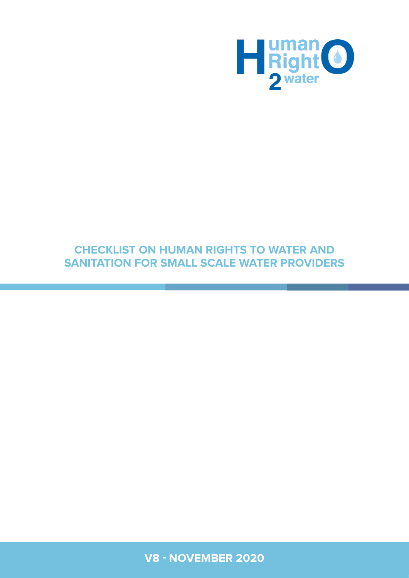

## **CHECKLIST ON HUMAN RIGHTS TO WATER AND SANITATION FOR SMALL SCALE WATER PROVIDERS**

V8 - November 2020 **1 V8 - NOVEMBER 2020**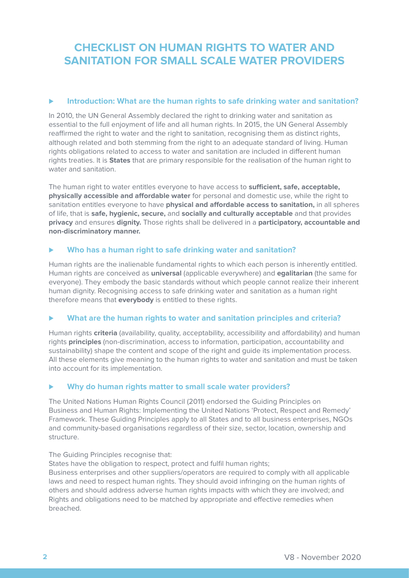## **CHECKLIST ON HUMAN RIGHTS TO WATER AND SANITATION FOR SMALL SCALE WATER PROVIDERS**

#### ⊲ **Introduction: What are the human rights to safe drinking water and sanitation?**

In 2010, the UN General Assembly declared the right to drinking water and sanitation as essential to the full enjoyment of life and all human rights. In 2015, the UN General Assembly reaffirmed the right to water and the right to sanitation, recognising them as distinct rights, although related and both stemming from the right to an adequate standard of living. Human rights obligations related to access to water and sanitation are included in different human rights treaties. It is **States** that are primary responsible for the realisation of the human right to water and sanitation.

The human right to water entitles everyone to have access to **sufficient, safe, acceptable, physically accessible and affordable water** for personal and domestic use, while the right to sanitation entitles everyone to have **physical and affordable access to sanitation,** in all spheres of life, that is **safe, hygienic, secure,** and **socially and culturally acceptable** and that provides **privacy** and ensures **dignity.** Those rights shall be delivered in a **participatory, accountable and non-discriminatory manner.**

#### ⊲ **Who has a human right to safe drinking water and sanitation?**

Human rights are the inalienable fundamental rights to which each person is inherently entitled. Human rights are conceived as **universal** (applicable everywhere) and **egalitarian** (the same for everyone). They embody the basic standards without which people cannot realize their inherent human dignity. Recognising access to safe drinking water and sanitation as a human right therefore means that **everybody** is entitled to these rights.

#### ⊲ **What are the human rights to water and sanitation principles and criteria?**

Human rights **criteria** (availability, quality, acceptability, accessibility and affordability) and human rights **principles** (non-discrimination, access to information, participation, accountability and sustainability) shape the content and scope of the right and guide its implementation process. All these elements give meaning to the human rights to water and sanitation and must be taken into account for its implementation.

#### ⊲ **Why do human rights matter to small scale water providers?**

The United Nations Human Rights Council (2011) endorsed the Guiding Principles on Business and Human Rights: Implementing the United Nations 'Protect, Respect and Remedy' Framework. These Guiding Principles apply to all States and to all business enterprises, NGOs and community-based organisations regardless of their size, sector, location, ownership and structure.

The Guiding Principles recognise that:

States have the obligation to respect, protect and fulfil human rights;

Business enterprises and other suppliers/operators are required to comply with all applicable laws and need to respect human rights. They should avoid infringing on the human rights of others and should address adverse human rights impacts with which they are involved; and Rights and obligations need to be matched by appropriate and effective remedies when breached.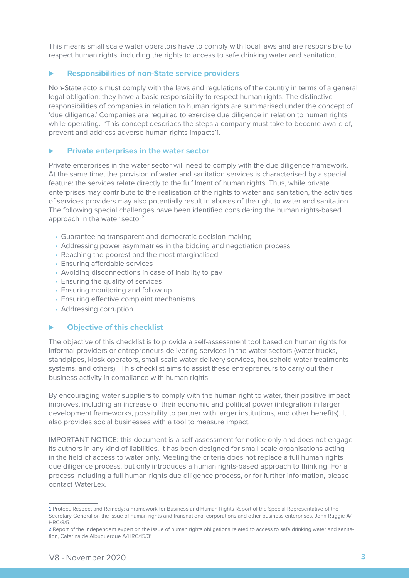This means small scale water operators have to comply with local laws and are responsible to respect human rights, including the rights to access to safe drinking water and sanitation.

#### ⊲ **Responsibilities of non-State service providers**

Non-State actors must comply with the laws and regulations of the country in terms of a general legal obligation: they have a basic responsibility to respect human rights. The distinctive responsibilities of companies in relation to human rights are summarised under the concept of 'due diligence.' Companies are required to exercise due diligence in relation to human rights while operating. 'This concept describes the steps a company must take to become aware of, prevent and address adverse human rights impacts'1.

#### ⊲ **Private enterprises in the water sector**

Private enterprises in the water sector will need to comply with the due diligence framework. At the same time, the provision of water and sanitation services is characterised by a special feature: the services relate directly to the fulfilment of human rights. Thus, while private enterprises may contribute to the realisation of the rights to water and sanitation, the activities of services providers may also potentially result in abuses of the right to water and sanitation. The following special challenges have been identified considering the human rights-based approach in the water sector<sup>2</sup>:

- Guaranteeing transparent and democratic decision-making
- Addressing power asymmetries in the bidding and negotiation process
- Reaching the poorest and the most marginalised
- Ensuring affordable services
- Avoiding disconnections in case of inability to pay
- Ensuring the quality of services
- Ensuring monitoring and follow up
- Ensuring effective complaint mechanisms
- Addressing corruption

#### ⊲ **Objective of this checklist**

The objective of this checklist is to provide a self-assessment tool based on human rights for informal providers or entrepreneurs delivering services in the water sectors (water trucks, standpipes, kiosk operators, small-scale water delivery services, household water treatments systems, and others). This checklist aims to assist these entrepreneurs to carry out their business activity in compliance with human rights.

By encouraging water suppliers to comply with the human right to water, their positive impact improves, including an increase of their economic and political power (integration in larger development frameworks, possibility to partner with larger institutions, and other benefits). It also provides social businesses with a tool to measure impact.

IMPORTANT NOTICE: this document is a self-assessment for notice only and does not engage its authors in any kind of liabilities. It has been designed for small scale organisations acting in the field of access to water only. Meeting the criteria does not replace a full human rights due diligence process, but only introduces a human rights-based approach to thinking. For a process including a full human rights due diligence process, or for further information, please contact WaterLex.

**<sup>1</sup>** Protect, Respect and Remedy: a Framework for Business and Human Rights Report of the Special Representative of the Secretary-General on the issue of human rights and transnational corporations and other business enterprises, John Ruggie A/ HRC/8/5.

**<sup>2</sup>** Report of the independent expert on the issue of human rights obligations related to access to safe drinking water and sanitation, Catarina de Albuquerque A/HRC/15/31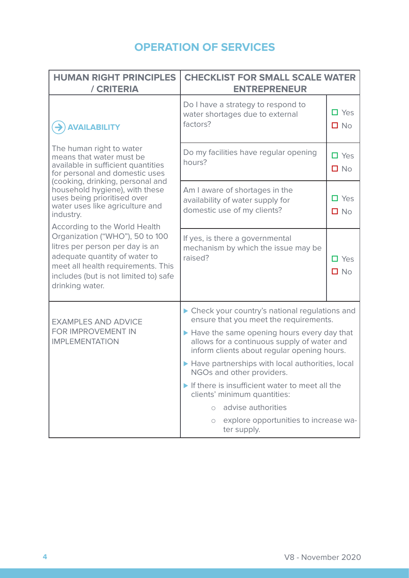# **OPERATION OF SERVICES**

| <b>HUMAN RIGHT PRINCIPLES</b><br>/ CRITERIA                                                                                                                                                                                                   | <b>CHECKLIST FOR SMALL SCALE WATER</b><br><b>ENTREPRENEUR</b>                                                                            |                            |
|-----------------------------------------------------------------------------------------------------------------------------------------------------------------------------------------------------------------------------------------------|------------------------------------------------------------------------------------------------------------------------------------------|----------------------------|
| <b>AVAILABILITY</b>                                                                                                                                                                                                                           | Do I have a strategy to respond to<br>water shortages due to external<br>factors?                                                        | $\Box$ Yes<br>$\Box$ No    |
| The human right to water<br>means that water must be<br>available in sufficient quantities<br>for personal and domestic uses                                                                                                                  | Do my facilities have regular opening<br>hours?                                                                                          | $\Box$ Yes<br>$\square$ No |
| (cooking, drinking, personal and<br>household hygiene), with these<br>uses being prioritised over<br>water uses like agriculture and<br>industry.                                                                                             | Am I aware of shortages in the<br>availability of water supply for<br>domestic use of my clients?                                        | $\Box$ Yes<br>$\Box$ No    |
| <b>According to the World Health</b><br>Organization ("WHO"), 50 to 100<br>litres per person per day is an<br>adequate quantity of water to<br>meet all health requirements. This<br>includes (but is not limited to) safe<br>drinking water. | If yes, is there a governmental<br>mechanism by which the issue may be<br>raised?                                                        | $\Box$ Yes<br>$\Box$ No    |
| <b>EXAMPLES AND ADVICE</b>                                                                                                                                                                                                                    | ▶ Check your country's national regulations and<br>ensure that you meet the requirements.                                                |                            |
| FOR IMPROVEMENT IN<br><b>IMPLEMENTATION</b>                                                                                                                                                                                                   | Have the same opening hours every day that<br>allows for a continuous supply of water and<br>inform clients about regular opening hours. |                            |
|                                                                                                                                                                                                                                               | Have partnerships with local authorities, local<br>NGOs and other providers.                                                             |                            |
|                                                                                                                                                                                                                                               | If there is insufficient water to meet all the<br>clients' minimum quantities:                                                           |                            |
|                                                                                                                                                                                                                                               | advise authorities<br>$\bigcirc$                                                                                                         |                            |
|                                                                                                                                                                                                                                               | explore opportunities to increase wa-<br>$\circ$<br>ter supply.                                                                          |                            |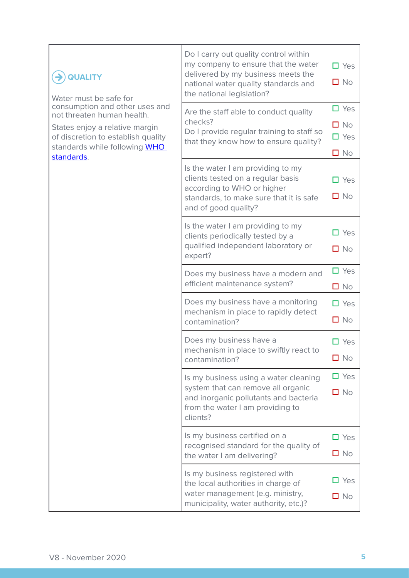| <b>QUALITY</b><br>Water must be safe for<br>consumption and other uses and<br>not threaten human health.<br>States enjoy a relative margin<br>of discretion to establish quality<br>standards while following WHO<br>standards. | Do I carry out quality control within<br>my company to ensure that the water<br>delivered by my business meets the<br>national water quality standards and<br>the national legislation? | $\Box$ Yes<br>$\Box$ No                               |
|---------------------------------------------------------------------------------------------------------------------------------------------------------------------------------------------------------------------------------|-----------------------------------------------------------------------------------------------------------------------------------------------------------------------------------------|-------------------------------------------------------|
|                                                                                                                                                                                                                                 | Are the staff able to conduct quality<br>checks?<br>Do I provide regular training to staff so<br>that they know how to ensure quality?                                                  | $\Box$ Yes<br>$\square$ No<br>$\Box$ Yes<br>$\Box$ No |
|                                                                                                                                                                                                                                 | Is the water I am providing to my<br>clients tested on a regular basis<br>according to WHO or higher<br>standards, to make sure that it is safe<br>and of good quality?                 | $\Box$ Yes<br>$\Box$ No                               |
|                                                                                                                                                                                                                                 | Is the water I am providing to my<br>clients periodically tested by a<br>qualified independent laboratory or<br>expert?                                                                 | $\Box$ Yes<br>$\Box$ No                               |
|                                                                                                                                                                                                                                 | Does my business have a modern and<br>efficient maintenance system?                                                                                                                     | $\Box$ Yes<br>$\Box$ No                               |
|                                                                                                                                                                                                                                 | Does my business have a monitoring<br>mechanism in place to rapidly detect<br>contamination?                                                                                            | $\Box$ Yes<br>$\Box$ No                               |
|                                                                                                                                                                                                                                 | Does my business have a<br>mechanism in place to swiftly react to<br>contamination?                                                                                                     | $\Box$ Yes<br>$\square$ No                            |
|                                                                                                                                                                                                                                 | Is my business using a water cleaning<br>system that can remove all organic<br>and inorganic pollutants and bacteria<br>from the water I am providing to<br>clients?                    | $\Box$ Yes<br>$\Box$ No                               |
|                                                                                                                                                                                                                                 | Is my business certified on a<br>recognised standard for the quality of<br>the water I am delivering?                                                                                   | $\Box$ Yes<br>$\Box$ No                               |
|                                                                                                                                                                                                                                 | Is my business registered with<br>the local authorities in charge of<br>water management (e.g. ministry,<br>municipality, water authority, etc.)?                                       | Yes<br>Ш<br>$\Box$ No                                 |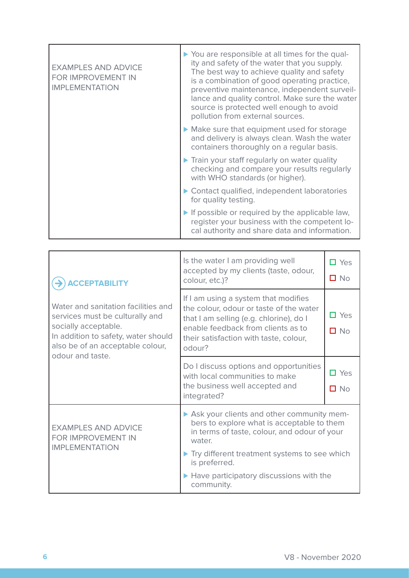| <b>EXAMPLES AND ADVICE</b><br>FOR IMPROVEMENT IN<br><b>IMPLEMENTATION</b> | ▶ You are responsible at all times for the qual-<br>ity and safety of the water that you supply.<br>The best way to achieve quality and safety<br>is a combination of good operating practice,<br>preventive maintenance, independent surveil-<br>lance and quality control. Make sure the water<br>source is protected well enough to avoid<br>pollution from external sources. |
|---------------------------------------------------------------------------|----------------------------------------------------------------------------------------------------------------------------------------------------------------------------------------------------------------------------------------------------------------------------------------------------------------------------------------------------------------------------------|
|                                                                           | Make sure that equipment used for storage<br>and delivery is always clean. Wash the water<br>containers thoroughly on a regular basis.                                                                                                                                                                                                                                           |
|                                                                           | Train your staff regularly on water quality<br>checking and compare your results regularly<br>with WHO standards (or higher).                                                                                                                                                                                                                                                    |
|                                                                           | Contact qualified, independent laboratories<br>for quality testing.                                                                                                                                                                                                                                                                                                              |
|                                                                           | $\blacktriangleright$ If possible or required by the applicable law,<br>register your business with the competent lo-<br>cal authority and share data and information.                                                                                                                                                                                                           |

| <b>CCEPTABILITY</b><br>Water and sanitation facilities and<br>services must be culturally and<br>socially acceptable.<br>In addition to safety, water should<br>also be of an acceptable colour,<br>odour and taste. | Is the water I am providing well<br>accepted by my clients (taste, odour,<br>colour, etc.)?                                                                                                                          | $\Box$ Yes<br>$\square$ No |
|----------------------------------------------------------------------------------------------------------------------------------------------------------------------------------------------------------------------|----------------------------------------------------------------------------------------------------------------------------------------------------------------------------------------------------------------------|----------------------------|
|                                                                                                                                                                                                                      | If I am using a system that modifies<br>the colour, odour or taste of the water<br>that I am selling (e.g. chlorine), do I<br>enable feedback from clients as to<br>their satisfaction with taste, colour,<br>odour? | $\Box$ Yes<br>$\square$ No |
|                                                                                                                                                                                                                      | Do I discuss options and opportunities<br>with local communities to make<br>the business well accepted and<br>integrated?                                                                                            | $\Box$ Yes<br>$\square$ No |
| <b>EXAMPLES AND ADVICE</b><br>FOR IMPROVEMENT IN<br><b>IMPLEMENTATION</b>                                                                                                                                            | Ask your clients and other community mem-<br>bers to explore what is acceptable to them<br>in terms of taste, colour, and odour of your<br>water                                                                     |                            |
|                                                                                                                                                                                                                      | Try different treatment systems to see which<br>is preferred.                                                                                                                                                        |                            |
|                                                                                                                                                                                                                      | Have participatory discussions with the<br>community.                                                                                                                                                                |                            |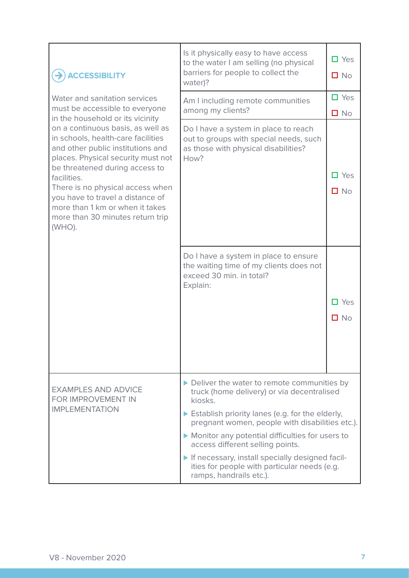| <b>ACCESSIBILITY</b>                                                                                                                                                                                                                                                                                                                                                                             | Is it physically easy to have access<br>to the water I am selling (no physical<br>barriers for people to collect the<br>water)?                                                                                                                                                                                                                                                                                                | $\Box$ Yes<br>$\square$ No |
|--------------------------------------------------------------------------------------------------------------------------------------------------------------------------------------------------------------------------------------------------------------------------------------------------------------------------------------------------------------------------------------------------|--------------------------------------------------------------------------------------------------------------------------------------------------------------------------------------------------------------------------------------------------------------------------------------------------------------------------------------------------------------------------------------------------------------------------------|----------------------------|
| Water and sanitation services<br>must be accessible to everyone                                                                                                                                                                                                                                                                                                                                  | Am I including remote communities<br>among my clients?                                                                                                                                                                                                                                                                                                                                                                         | $\Box$ Yes<br>$\square$ No |
| in the household or its vicinity<br>on a continuous basis, as well as<br>in schools, health-care facilities<br>and other public institutions and<br>places. Physical security must not<br>be threatened during access to<br>facilities.<br>There is no physical access when<br>you have to travel a distance of<br>more than 1 km or when it takes<br>more than 30 minutes return trip<br>(WHO). | Do I have a system in place to reach<br>out to groups with special needs, such<br>as those with physical disabilities?<br>How?                                                                                                                                                                                                                                                                                                 | Ш Yes<br>$\Box$ No         |
|                                                                                                                                                                                                                                                                                                                                                                                                  | Do I have a system in place to ensure<br>the waiting time of my clients does not<br>exceed 30 min. in total?<br>Explain:                                                                                                                                                                                                                                                                                                       | $\Box$ Yes<br>$\Box$ No    |
| <b>EXAMPLES AND ADVICE</b><br>FOR IMPROVEMENT IN<br><b>IMPLEMENTATION</b>                                                                                                                                                                                                                                                                                                                        | Deliver the water to remote communities by<br>truck (home delivery) or via decentralised<br>kiosks.<br>Establish priority lanes (e.g. for the elderly,<br>pregnant women, people with disabilities etc.).<br>Monitor any potential difficulties for users to<br>access different selling points.<br>If necessary, install specially designed facil-<br>ities for people with particular needs (e.g.<br>ramps, handrails etc.). |                            |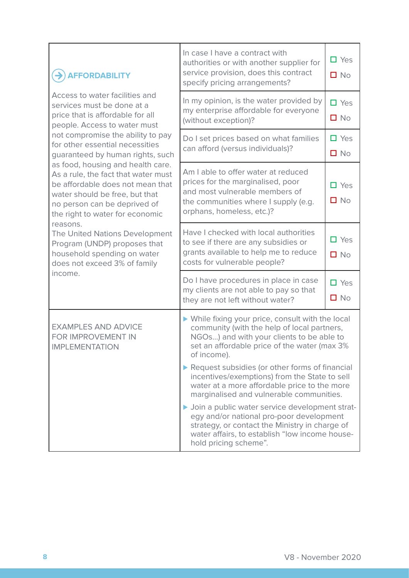| <b>AFFORDABILITY</b><br>Access to water facilities and<br>services must be done at a<br>price that is affordable for all<br>people. Access to water must                                                                                                                                                                                                                  | In case I have a contract with<br>authorities or with another supplier for<br>service provision, does this contract<br>specify pricing arrangements?                                                                    | $\Box$ Yes<br>$\Box$ No       |
|---------------------------------------------------------------------------------------------------------------------------------------------------------------------------------------------------------------------------------------------------------------------------------------------------------------------------------------------------------------------------|-------------------------------------------------------------------------------------------------------------------------------------------------------------------------------------------------------------------------|-------------------------------|
|                                                                                                                                                                                                                                                                                                                                                                           | In my opinion, is the water provided by<br>my enterprise affordable for everyone<br>(without exception)?                                                                                                                | $\Box$ Yes<br>$\square$ No    |
| not compromise the ability to pay<br>for other essential necessities<br>guaranteed by human rights, such                                                                                                                                                                                                                                                                  | Do I set prices based on what families<br>can afford (versus individuals)?                                                                                                                                              | $\square$ Yes<br>$\square$ No |
| as food, housing and health care.<br>As a rule, the fact that water must<br>be affordable does not mean that<br>water should be free, but that<br>no person can be deprived of<br>the right to water for economic<br>reasons.<br>The United Nations Development<br>Program (UNDP) proposes that<br>household spending on water<br>does not exceed 3% of family<br>income. | Am I able to offer water at reduced<br>prices for the marginalised, poor<br>and most vulnerable members of<br>the communities where I supply (e.g.<br>orphans, homeless, etc.)?                                         | $\Box$ Yes<br>$\square$ No    |
|                                                                                                                                                                                                                                                                                                                                                                           | Have I checked with local authorities<br>to see if there are any subsidies or<br>grants available to help me to reduce<br>costs for vulnerable people?                                                                  | ⊒ Yes<br>$\square$ No         |
|                                                                                                                                                                                                                                                                                                                                                                           | Do I have procedures in place in case<br>my clients are not able to pay so that<br>they are not left without water?                                                                                                     | $\Box$ Yes<br>$\square$ No    |
| <b>EXAMPLES AND ADVICE</b><br>FOR IMPROVEMENT IN<br><b>IMPLEMENTATION</b>                                                                                                                                                                                                                                                                                                 | ▶ While fixing your price, consult with the local<br>community (with the help of local partners,<br>NGOs) and with your clients to be able to<br>set an affordable price of the water (max 3%<br>of income).            |                               |
|                                                                                                                                                                                                                                                                                                                                                                           | Request subsidies (or other forms of financial<br>incentives/exemptions) from the State to sell<br>water at a more affordable price to the more<br>marginalised and vulnerable communities.                             |                               |
|                                                                                                                                                                                                                                                                                                                                                                           | Join a public water service development strat-<br>egy and/or national pro-poor development<br>strategy, or contact the Ministry in charge of<br>water affairs, to establish "low income house-<br>hold pricing scheme". |                               |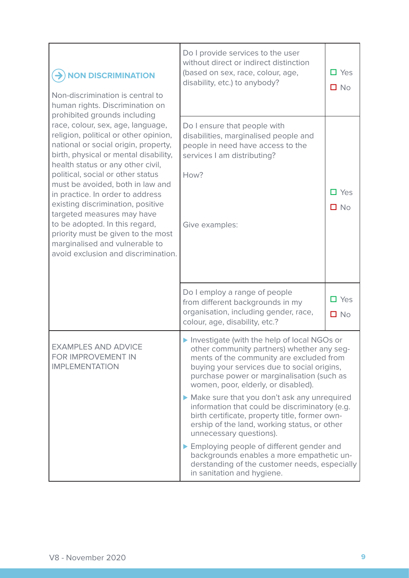| <b>NON DISCRIMINATION</b><br>Non-discrimination is central to<br>human rights. Discrimination on                                                                                                                                                                                                                                                                                                                                                                                                                                                                  | Do I provide services to the user<br>without direct or indirect distinction<br>(based on sex, race, colour, age,<br>disability, etc.) to anybody?                                                                                                                                                                                                                                                                            | $\Box$ Yes<br>$\square$ No |
|-------------------------------------------------------------------------------------------------------------------------------------------------------------------------------------------------------------------------------------------------------------------------------------------------------------------------------------------------------------------------------------------------------------------------------------------------------------------------------------------------------------------------------------------------------------------|------------------------------------------------------------------------------------------------------------------------------------------------------------------------------------------------------------------------------------------------------------------------------------------------------------------------------------------------------------------------------------------------------------------------------|----------------------------|
| prohibited grounds including<br>race, colour, sex, age, language,<br>religion, political or other opinion,<br>national or social origin, property,<br>birth, physical or mental disability,<br>health status or any other civil,<br>political, social or other status<br>must be avoided, both in law and<br>in practice. In order to address<br>existing discrimination, positive<br>targeted measures may have<br>to be adopted. In this regard,<br>priority must be given to the most<br>marginalised and vulnerable to<br>avoid exclusion and discrimination. | Do I ensure that people with<br>disabilities, marginalised people and<br>people in need have access to the<br>services I am distributing?<br>How?<br>Give examples:                                                                                                                                                                                                                                                          | $\Box$ Yes<br>$\Box$ No    |
|                                                                                                                                                                                                                                                                                                                                                                                                                                                                                                                                                                   | Do I employ a range of people<br>from different backgrounds in my<br>organisation, including gender, race,<br>colour, age, disability, etc.?                                                                                                                                                                                                                                                                                 | $\Box$ Yes<br>$\square$ No |
| <b>EXAMPLES AND ADVICE</b><br>FOR IMPROVEMENT IN<br><b>IMPLEMENTATION</b>                                                                                                                                                                                                                                                                                                                                                                                                                                                                                         | Investigate (with the help of local NGOs or<br>other community partners) whether any seg-<br>ments of the community are excluded from<br>buying your services due to social origins,<br>purchase power or marginalisation (such as<br>women, poor, elderly, or disabled).<br>Make sure that you don't ask any unrequired<br>information that could be discriminatory (e.g.<br>birth certificate, property title, former own- |                            |
|                                                                                                                                                                                                                                                                                                                                                                                                                                                                                                                                                                   | ership of the land, working status, or other<br>unnecessary questions).<br>Employing people of different gender and<br>backgrounds enables a more empathetic un-<br>derstanding of the customer needs, especially<br>in sanitation and hygiene.                                                                                                                                                                              |                            |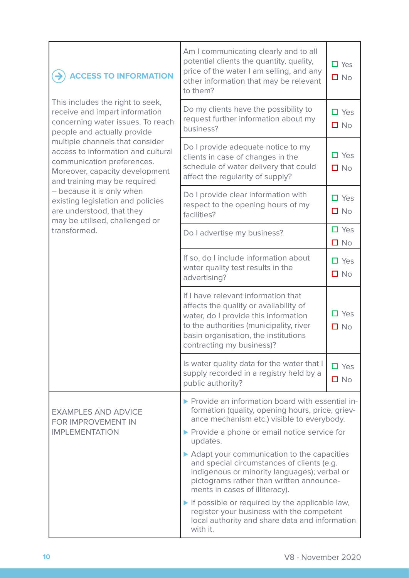| <b>ACCESS TO INFORMATION</b>                                                                                                                                          | Am I communicating clearly and to all<br>potential clients the quantity, quality,<br>price of the water I am selling, and any<br>other information that may be relevant<br>to them?                                                                                                                                                                                                                                                                                                                                                                                                                                             | $\Box$ Yes<br>$\Box$ No       |
|-----------------------------------------------------------------------------------------------------------------------------------------------------------------------|---------------------------------------------------------------------------------------------------------------------------------------------------------------------------------------------------------------------------------------------------------------------------------------------------------------------------------------------------------------------------------------------------------------------------------------------------------------------------------------------------------------------------------------------------------------------------------------------------------------------------------|-------------------------------|
| This includes the right to seek,<br>receive and impart information<br>concerning water issues. To reach<br>people and actually provide                                | Do my clients have the possibility to<br>request further information about my<br>business?                                                                                                                                                                                                                                                                                                                                                                                                                                                                                                                                      | $\Box$ Yes<br>$\Box$ No       |
| multiple channels that consider<br>access to information and cultural<br>communication preferences.<br>Moreover, capacity development<br>and training may be required | Do I provide adequate notice to my<br>clients in case of changes in the<br>schedule of water delivery that could<br>affect the regularity of supply?                                                                                                                                                                                                                                                                                                                                                                                                                                                                            | $\Box$ Yes<br>$\Box$ No       |
| - because it is only when<br>existing legislation and policies<br>are understood, that they<br>may be utilised, challenged or                                         | Do I provide clear information with<br>respect to the opening hours of my<br>facilities?                                                                                                                                                                                                                                                                                                                                                                                                                                                                                                                                        | $\Box$ Yes<br>$\square$ No    |
| transformed.                                                                                                                                                          | Do I advertise my business?                                                                                                                                                                                                                                                                                                                                                                                                                                                                                                                                                                                                     | $\square$ Yes<br>$\square$ No |
|                                                                                                                                                                       | If so, do I include information about<br>water quality test results in the<br>advertising?                                                                                                                                                                                                                                                                                                                                                                                                                                                                                                                                      | $\Box$ Yes<br>$\square$ No    |
|                                                                                                                                                                       | If I have relevant information that<br>affects the quality or availability of<br>water, do I provide this information<br>to the authorities (municipality, river<br>basin organisation, the institutions<br>contracting my business)?                                                                                                                                                                                                                                                                                                                                                                                           | $\Box$ Yes<br>$\square$ No    |
|                                                                                                                                                                       | Is water quality data for the water that I<br>supply recorded in a registry held by a<br>public authority?                                                                                                                                                                                                                                                                                                                                                                                                                                                                                                                      | $\Box$ Yes<br>$\square$ No    |
| <b>EXAMPLES AND ADVICE</b><br>FOR IMPROVEMENT IN<br><b>IMPLEMENTATION</b>                                                                                             | ▶ Provide an information board with essential in-<br>formation (quality, opening hours, price, griev-<br>ance mechanism etc.) visible to everybody.<br>▶ Provide a phone or email notice service for<br>updates.<br>▶ Adapt your communication to the capacities<br>and special circumstances of clients (e.g.<br>indigenous or minority languages); verbal or<br>pictograms rather than written announce-<br>ments in cases of illiteracy).<br>$\blacktriangleright$ If possible or required by the applicable law,<br>register your business with the competent<br>local authority and share data and information<br>with it. |                               |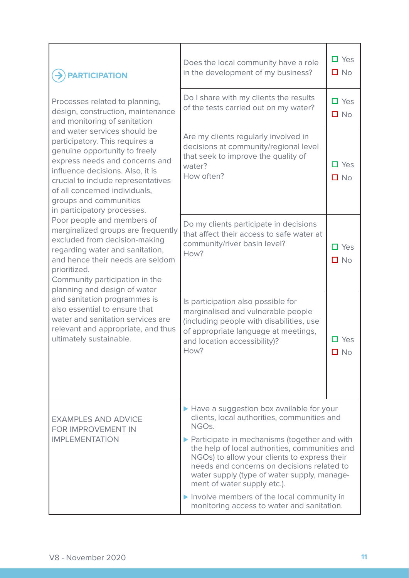| <b>PARTICIPATION</b><br>Processes related to planning,<br>design, construction, maintenance<br>and monitoring of sanitation<br>and water services should be<br>participatory. This requires a<br>genuine opportunity to freely<br>express needs and concerns and<br>influence decisions. Also, it is<br>crucial to include representatives<br>of all concerned individuals,<br>groups and communities<br>in participatory processes.<br>Poor people and members of<br>marginalized groups are frequently<br>excluded from decision-making<br>regarding water and sanitation,<br>and hence their needs are seldom<br>prioritized.<br>Community participation in the<br>planning and design of water<br>and sanitation programmes is<br>also essential to ensure that<br>water and sanitation services are<br>relevant and appropriate, and thus<br>ultimately sustainable. | Does the local community have a role<br>in the development of my business?                                                                                                                                                                                                                                                                                                                     | $\Box$ Yes<br>$\Box$ No    |
|---------------------------------------------------------------------------------------------------------------------------------------------------------------------------------------------------------------------------------------------------------------------------------------------------------------------------------------------------------------------------------------------------------------------------------------------------------------------------------------------------------------------------------------------------------------------------------------------------------------------------------------------------------------------------------------------------------------------------------------------------------------------------------------------------------------------------------------------------------------------------|------------------------------------------------------------------------------------------------------------------------------------------------------------------------------------------------------------------------------------------------------------------------------------------------------------------------------------------------------------------------------------------------|----------------------------|
|                                                                                                                                                                                                                                                                                                                                                                                                                                                                                                                                                                                                                                                                                                                                                                                                                                                                           | Do I share with my clients the results<br>of the tests carried out on my water?                                                                                                                                                                                                                                                                                                                | $\Box$ Yes<br>$\square$ No |
|                                                                                                                                                                                                                                                                                                                                                                                                                                                                                                                                                                                                                                                                                                                                                                                                                                                                           | Are my clients regularly involved in<br>decisions at community/regional level<br>that seek to improve the quality of<br>water?<br>How often?                                                                                                                                                                                                                                                   | Yes<br>$\square$ No        |
|                                                                                                                                                                                                                                                                                                                                                                                                                                                                                                                                                                                                                                                                                                                                                                                                                                                                           | Do my clients participate in decisions<br>that affect their access to safe water at<br>community/river basin level?<br>How?                                                                                                                                                                                                                                                                    | $\Box$ Yes<br>$\square$ No |
|                                                                                                                                                                                                                                                                                                                                                                                                                                                                                                                                                                                                                                                                                                                                                                                                                                                                           | Is participation also possible for<br>marginalised and vulnerable people<br>(including people with disabilities, use<br>of appropriate language at meetings,<br>and location accessibility)?<br>How?                                                                                                                                                                                           | Yes<br>$\square$ No        |
| <b>EXAMPLES AND ADVICE</b><br>FOR IMPROVEMENT IN<br><b>IMPLEMENTATION</b>                                                                                                                                                                                                                                                                                                                                                                                                                                                                                                                                                                                                                                                                                                                                                                                                 | ▶ Have a suggestion box available for your<br>clients, local authorities, communities and<br>NGO <sub>s.</sub><br>▶ Participate in mechanisms (together and with<br>the help of local authorities, communities and<br>NGOs) to allow your clients to express their<br>needs and concerns on decisions related to<br>water supply (type of water supply, manage-<br>ment of water supply etc.). |                            |
|                                                                                                                                                                                                                                                                                                                                                                                                                                                                                                                                                                                                                                                                                                                                                                                                                                                                           | Involve members of the local community in<br>monitoring access to water and sanitation.                                                                                                                                                                                                                                                                                                        |                            |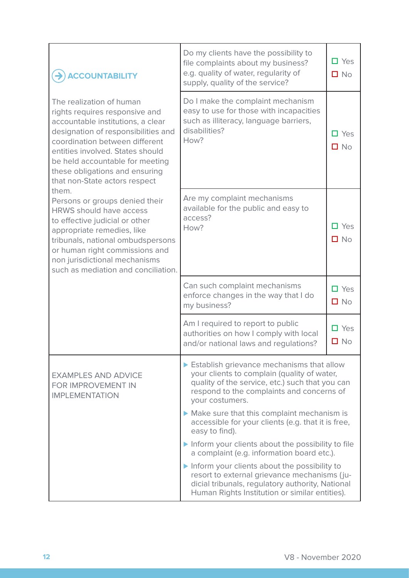| <b>ACCOUNTABILITY</b>                                                                                                                                                                                                                                                                                              | Do my clients have the possibility to<br>file complaints about my business?<br>e.g. quality of water, regularity of<br>supply, quality of the service?                                             | $\Box$ Yes<br>$\Box$ No    |
|--------------------------------------------------------------------------------------------------------------------------------------------------------------------------------------------------------------------------------------------------------------------------------------------------------------------|----------------------------------------------------------------------------------------------------------------------------------------------------------------------------------------------------|----------------------------|
| The realization of human<br>rights requires responsive and<br>accountable institutions, a clear<br>designation of responsibilities and<br>coordination between different<br>entities involved. States should<br>be held accountable for meeting<br>these obligations and ensuring<br>that non-State actors respect | Do I make the complaint mechanism<br>easy to use for those with incapacities<br>such as illiteracy, language barriers,<br>disabilities?<br>How?                                                    | $\Box$ Yes<br>$\square$ No |
| them.<br>Persons or groups denied their<br><b>HRWS should have access</b><br>to effective judicial or other<br>appropriate remedies, like<br>tribunals, national ombudspersons<br>or human right commissions and<br>non jurisdictional mechanisms<br>such as mediation and conciliation.                           | Are my complaint mechanisms<br>available for the public and easy to<br>access?<br>How?                                                                                                             | $\Box$ Yes<br>$\square$ No |
|                                                                                                                                                                                                                                                                                                                    | Can such complaint mechanisms<br>enforce changes in the way that I do<br>my business?                                                                                                              | $\Box$ Yes<br>$\Box$ No    |
|                                                                                                                                                                                                                                                                                                                    | Am I required to report to public<br>authorities on how I comply with local<br>and/or national laws and regulations?                                                                               | $\Box$ Yes<br>$\square$ No |
| Establish grievance mechanisms that allow<br>your clients to complain (quality of water,<br><b>EXAMPLES AND ADVICE</b><br>quality of the service, etc.) such that you can<br>FOR IMPROVEMENT IN<br>respond to the complaints and concerns of<br><b>IMPLEMENTATION</b><br>your costumers.                           |                                                                                                                                                                                                    |                            |
|                                                                                                                                                                                                                                                                                                                    | Make sure that this complaint mechanism is<br>accessible for your clients (e.g. that it is free,<br>easy to find).                                                                                 |                            |
|                                                                                                                                                                                                                                                                                                                    | Inform your clients about the possibility to file<br>a complaint (e.g. information board etc.).                                                                                                    |                            |
|                                                                                                                                                                                                                                                                                                                    | Inform your clients about the possibility to<br>resort to external grievance mechanisms (ju-<br>dicial tribunals, regulatory authority, National<br>Human Rights Institution or similar entities). |                            |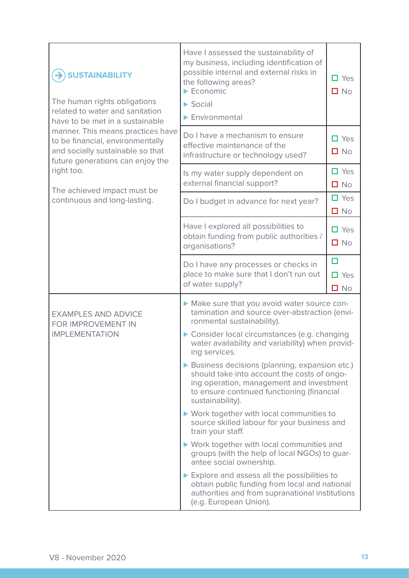| <b>SUSTAINABILITY</b><br>The human rights obligations<br>related to water and sanitation<br>have to be met in a sustainable                   | Have I assessed the sustainability of<br>my business, including identification of<br>possible internal and external risks in<br>the following areas?<br>$\blacktriangleright$ Economic<br>$\triangleright$ Social<br>$\blacktriangleright$ Environmental | $\Box$ Yes<br>$\Box$ No              |
|-----------------------------------------------------------------------------------------------------------------------------------------------|----------------------------------------------------------------------------------------------------------------------------------------------------------------------------------------------------------------------------------------------------------|--------------------------------------|
| manner. This means practices have<br>to be financial, environmentally<br>and socially sustainable so that<br>future generations can enjoy the | Do I have a mechanism to ensure<br>effective maintenance of the<br>infrastructure or technology used?                                                                                                                                                    | $\Box$ Yes<br>$\square$ No           |
| right too.<br>The achieved impact must be                                                                                                     | Is my water supply dependent on<br>external financial support?                                                                                                                                                                                           | $\Box$ Yes<br>$\Box$ No              |
| continuous and long-lasting.                                                                                                                  | Do I budget in advance for next year?                                                                                                                                                                                                                    | $\Box$ Yes<br>$\Box$ No              |
|                                                                                                                                               | Have I explored all possibilities to<br>obtain funding from public authorities /<br>organisations?                                                                                                                                                       | $\Box$ Yes<br>$\square$ No           |
|                                                                                                                                               | Do I have any processes or checks in<br>place to make sure that I don't run out<br>of water supply?                                                                                                                                                      | $\Box$<br>$\Box$ Yes<br>$\square$ No |
| <b>EXAMPLES AND ADVICE</b><br><b>FOR IMPROVEMENT IN</b><br><b>IMPLEMENTATION</b>                                                              | Make sure that you avoid water source con-<br>tamination and source over-abstraction (envi-<br>ronmental sustainability).<br>Consider local circumstances (e.g. changing<br>water availability and variability) when provid-                             |                                      |
|                                                                                                                                               | ing services.<br>Business decisions (planning, expansion etc.)<br>should take into account the costs of ongo-<br>ing operation, management and investment<br>to ensure continued functioning (financial<br>sustainability).                              |                                      |
|                                                                                                                                               | ▶ Work together with local communities to<br>source skilled labour for your business and<br>train your staff.                                                                                                                                            |                                      |
|                                                                                                                                               | ▶ Work together with local communities and<br>groups (with the help of local NGOs) to guar-<br>antee social ownership.                                                                                                                                   |                                      |
|                                                                                                                                               | Explore and assess all the possibilities to<br>obtain public funding from local and national<br>authorities and from supranational institutions<br>(e.g. European Union).                                                                                |                                      |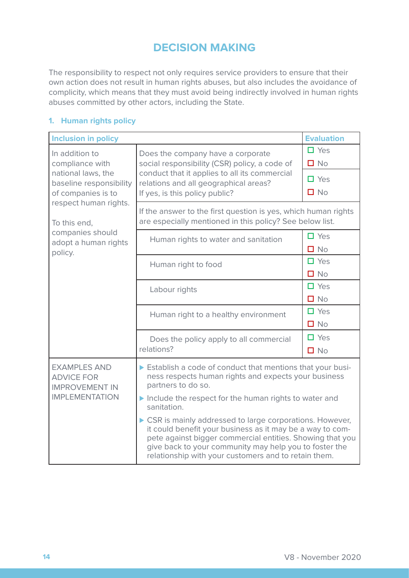# **DECISION MAKING**

The responsibility to respect not only requires service providers to ensure that their own action does not result in human rights abuses, but also includes the avoidance of complicity, which means that they must avoid being indirectly involved in human rights abuses committed by other actors, including the State.

### **1. Human rights policy**

| <b>Inclusion in policy</b>                                                                               |                                                                                                                                                                                                                                                                                                       | <b>Evaluation</b>          |
|----------------------------------------------------------------------------------------------------------|-------------------------------------------------------------------------------------------------------------------------------------------------------------------------------------------------------------------------------------------------------------------------------------------------------|----------------------------|
| In addition to<br>compliance with<br>national laws, the<br>baseline responsibility<br>of companies is to | Does the company have a corporate<br>social responsibility (CSR) policy, a code of                                                                                                                                                                                                                    | $\Box$ Yes<br>$\square$ No |
|                                                                                                          | conduct that it applies to all its commercial<br>relations and all geographical areas?<br>If yes, is this policy public?                                                                                                                                                                              | $\Box$ Yes<br>$\Box$ No    |
| respect human rights.<br>To this end,                                                                    | If the answer to the first question is yes, which human rights<br>are especially mentioned in this policy? See below list.                                                                                                                                                                            |                            |
| companies should<br>adopt a human rights<br>policy.                                                      | Human rights to water and sanitation                                                                                                                                                                                                                                                                  | $\square$ Yes<br>$\Box$ No |
|                                                                                                          | Human right to food                                                                                                                                                                                                                                                                                   | $\Box$ Yes<br>$\Box$ No    |
|                                                                                                          | Labour rights                                                                                                                                                                                                                                                                                         | $\Box$ Yes<br>$\Box$ No    |
|                                                                                                          | Human right to a healthy environment                                                                                                                                                                                                                                                                  | $\Box$ Yes<br>$\Box$ No    |
|                                                                                                          | Does the policy apply to all commercial<br>relations?                                                                                                                                                                                                                                                 | $\Box$ Yes<br>$\Box$ No    |
| <b>EXAMPLES AND</b><br><b>ADVICE FOR</b><br><b>IMPROVEMENT IN</b>                                        | Establish a code of conduct that mentions that your busi-<br>ness respects human rights and expects your business<br>partners to do so.                                                                                                                                                               |                            |
| <b>IMPLEMENTATION</b>                                                                                    | Include the respect for the human rights to water and<br>sanitation.                                                                                                                                                                                                                                  |                            |
|                                                                                                          | ▶ CSR is mainly addressed to large corporations. However,<br>it could benefit your business as it may be a way to com-<br>pete against bigger commercial entities. Showing that you<br>give back to your community may help you to foster the<br>relationship with your customers and to retain them. |                            |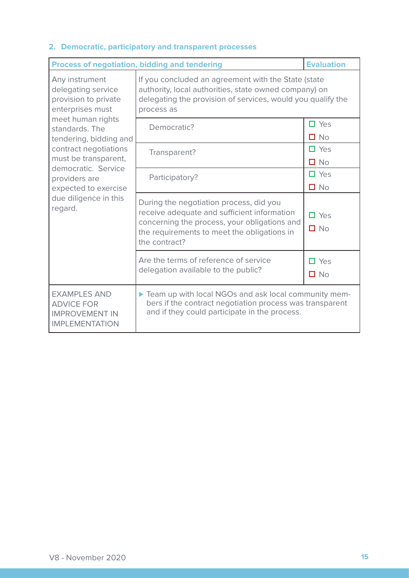### **2. Democratic, participatory and transparent processes**

| <b>Process of negotiation, bidding and tendering</b>                                                                                                                                                                                                                                                   | <b>Evaluation</b>                                                                                                                                                                                      |                            |
|--------------------------------------------------------------------------------------------------------------------------------------------------------------------------------------------------------------------------------------------------------------------------------------------------------|--------------------------------------------------------------------------------------------------------------------------------------------------------------------------------------------------------|----------------------------|
| Any instrument<br>delegating service<br>provision to private<br>enterprises must<br>meet human rights<br>standards. The<br>tendering, bidding and<br>contract negotiations<br>must be transparent,<br>democratic. Service<br>providers are<br>expected to exercise<br>due diligence in this<br>regard. | If you concluded an agreement with the State (state<br>authority, local authorities, state owned company) on<br>delegating the provision of services, would you qualify the<br>process as              |                            |
|                                                                                                                                                                                                                                                                                                        | Democratic?                                                                                                                                                                                            | $\Box$ Yes<br>$\square$ No |
|                                                                                                                                                                                                                                                                                                        | Transparent?                                                                                                                                                                                           | $\Box$ Yes<br>$\Box$ No    |
|                                                                                                                                                                                                                                                                                                        | Participatory?                                                                                                                                                                                         | $\square$ Yes<br>$\Box$ No |
|                                                                                                                                                                                                                                                                                                        | During the negotiation process, did you<br>receive adequate and sufficient information<br>concerning the process, your obligations and<br>the requirements to meet the obligations in<br>the contract? | $\Box$ Yes<br>$\square$ No |
|                                                                                                                                                                                                                                                                                                        | Are the terms of reference of service<br>delegation available to the public?                                                                                                                           | $\Box$ Yes<br>$\square$ No |
| <b>EXAMPLES AND</b><br><b>ADVICE FOR</b><br><b>IMPROVEMENT IN</b><br><b>IMPLEMENTATION</b>                                                                                                                                                                                                             | Team up with local NGOs and ask local community mem-<br>bers if the contract negotiation process was transparent<br>and if they could participate in the process.                                      |                            |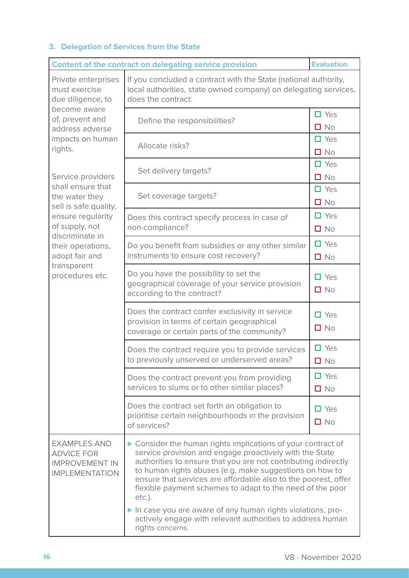## **3. Delegation of Services from the State**

| <b>Content of the contract on delegating service provision</b>                                                                                                                                                       | <b>Evaluation</b>                                                                                                                                                                                                                                                                                                                                                                                                                                                                                                                             |                            |  |
|----------------------------------------------------------------------------------------------------------------------------------------------------------------------------------------------------------------------|-----------------------------------------------------------------------------------------------------------------------------------------------------------------------------------------------------------------------------------------------------------------------------------------------------------------------------------------------------------------------------------------------------------------------------------------------------------------------------------------------------------------------------------------------|----------------------------|--|
| Private enterprises<br>must exercise<br>due diligence, to<br>become aware<br>of, prevent and<br>address adverse<br>impacts on human<br>rights.                                                                       | If you concluded a contract with the State (national authority,<br>local authorities, state owned company) on delegating services,<br>does the contract:                                                                                                                                                                                                                                                                                                                                                                                      |                            |  |
|                                                                                                                                                                                                                      | Define the responsibilities?                                                                                                                                                                                                                                                                                                                                                                                                                                                                                                                  | $\Box$ Yes<br>$\square$ No |  |
|                                                                                                                                                                                                                      | Allocate risks?                                                                                                                                                                                                                                                                                                                                                                                                                                                                                                                               | $\Box$ Yes<br>$\square$ No |  |
| Service providers<br>shall ensure that<br>the water they<br>sell is safe quality,<br>ensure regularity<br>of supply, not<br>discriminate in<br>their operations,<br>adopt fair and<br>transparent<br>procedures etc. | Set delivery targets?                                                                                                                                                                                                                                                                                                                                                                                                                                                                                                                         | $\Box$ Yes<br>$\Box$ No    |  |
|                                                                                                                                                                                                                      | Set coverage targets?                                                                                                                                                                                                                                                                                                                                                                                                                                                                                                                         | $\Box$ Yes<br>$\Box$ No    |  |
|                                                                                                                                                                                                                      | Does this contract specify process in case of<br>non-compliance?                                                                                                                                                                                                                                                                                                                                                                                                                                                                              | $\Box$ Yes<br>$\Box$ No    |  |
|                                                                                                                                                                                                                      | Do you benefit from subsidies or any other similar<br>instruments to ensure cost recovery?                                                                                                                                                                                                                                                                                                                                                                                                                                                    | $\Box$ Yes<br>$\square$ No |  |
|                                                                                                                                                                                                                      | Do you have the possibility to set the<br>geographical coverage of your service provision<br>according to the contract?                                                                                                                                                                                                                                                                                                                                                                                                                       | $\Box$ Yes<br>$\square$ No |  |
|                                                                                                                                                                                                                      | Does the contract confer exclusivity in service<br>provision in terms of certain geographical<br>coverage or certain parts of the community?                                                                                                                                                                                                                                                                                                                                                                                                  | $\Box$ Yes<br>$\square$ No |  |
|                                                                                                                                                                                                                      | Does the contract require you to provide services<br>to previously unserved or underserved areas?                                                                                                                                                                                                                                                                                                                                                                                                                                             | $\Box$ Yes<br>$\Box$ No    |  |
|                                                                                                                                                                                                                      | Does the contract prevent you from providing<br>services to slums or to other similar places?                                                                                                                                                                                                                                                                                                                                                                                                                                                 | $\Box$ Yes<br>$\Box$ No    |  |
|                                                                                                                                                                                                                      | Does the contract set forth an obligation to<br>prioritise certain neighbourhoods in the provision<br>of services?                                                                                                                                                                                                                                                                                                                                                                                                                            | $\Box$ Yes<br>$\square$ No |  |
| <b>EXAMPLES AND</b><br><b>ADVICE FOR</b><br><b>IMPROVEMENT IN</b><br><b>IMPLEMENTATION</b>                                                                                                                           | ▶ Consider the human rights implications of your contract of<br>service provision and engage proactively with the State<br>authorities to ensure that you are not contributing indirectly<br>to human rights abuses (e.g. make suggestions on how to<br>ensure that services are affordable also to the poorest, offer<br>flexible payment schemes to adapt to the need of the poor<br>etc.).<br>In case you are aware of any human rights violations, pro-<br>actively engage with relevant authorities to address human<br>rights concerns. |                            |  |